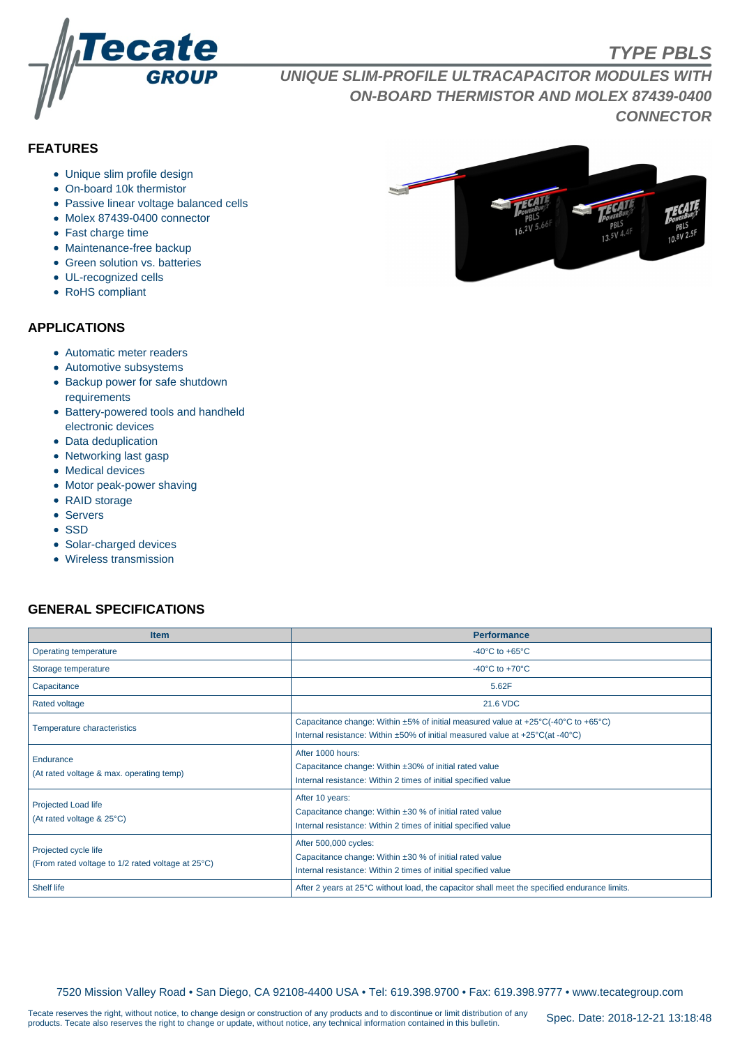

# **TYPE PBLS**

**UNIQUE SLIM-PROFILE ULTRACAPACITOR MODULES WITH ON-BOARD THERMISTOR AND MOLEX 87439-0400 CONNECTOR**

# **FEATURES**

- Unique slim profile design
- On-board 10k thermistor
- Passive linear voltage balanced cells
- Molex 87439-0400 connector
- Fast charge time
- Maintenance-free backup
- Green solution vs. batteries
- UL-recognized cells
- RoHS compliant

#### **APPLICATIONS**

- Automatic meter readers
- Automotive subsystems
- Backup power for safe shutdown requirements
- Battery-powered tools and handheld electronic devices
- Data deduplication
- Networking last gasp
- Medical devices
- Motor peak-power shaving
- RAID storage
- Servers
- SSD
- Solar-charged devices
- Wireless transmission

## **GENERAL SPECIFICATIONS**

| <b>Item</b>                                                               | <b>Performance</b>                                                                                                                                                                                                         |  |  |  |  |  |
|---------------------------------------------------------------------------|----------------------------------------------------------------------------------------------------------------------------------------------------------------------------------------------------------------------------|--|--|--|--|--|
| Operating temperature                                                     | -40 $^{\circ}$ C to +65 $^{\circ}$ C                                                                                                                                                                                       |  |  |  |  |  |
| Storage temperature                                                       | -40 $^{\circ}$ C to +70 $^{\circ}$ C                                                                                                                                                                                       |  |  |  |  |  |
| Capacitance                                                               | 5.62F                                                                                                                                                                                                                      |  |  |  |  |  |
| <b>Rated voltage</b>                                                      | 21.6 VDC                                                                                                                                                                                                                   |  |  |  |  |  |
| Temperature characteristics                                               | Capacitance change: Within $\pm 5\%$ of initial measured value at $\pm 25^{\circ}$ C(-40°C to $+65^{\circ}$ C)<br>Internal resistance: Within $\pm 50\%$ of initial measured value at $+25\degree C$ (at -40 $\degree C$ ) |  |  |  |  |  |
| Endurance<br>(At rated voltage & max. operating temp)                     | After 1000 hours:<br>Capacitance change: Within ±30% of initial rated value<br>Internal resistance: Within 2 times of initial specified value                                                                              |  |  |  |  |  |
| Projected Load life<br>(At rated voltage & 25°C)                          | After 10 years:<br>Capacitance change: Within $\pm 30$ % of initial rated value<br>Internal resistance: Within 2 times of initial specified value                                                                          |  |  |  |  |  |
| Projected cycle life<br>(From rated voltage to 1/2 rated voltage at 25°C) | After 500,000 cycles:<br>Capacitance change: Within ±30 % of initial rated value<br>Internal resistance: Within 2 times of initial specified value                                                                         |  |  |  |  |  |
| <b>Shelf life</b>                                                         | After 2 years at 25°C without load, the capacitor shall meet the specified endurance limits.                                                                                                                               |  |  |  |  |  |

7520 Mission Valley Road • San Diego, CA 92108-4400 USA • Tel: 619.398.9700 • Fax: 619.398.9777 • www.tecategroup.com